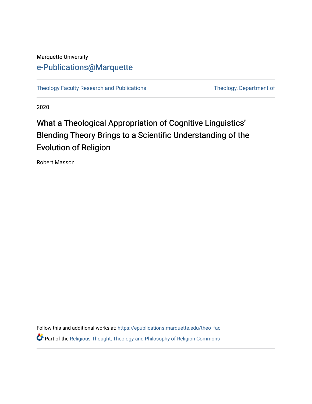# Marquette University [e-Publications@Marquette](https://epublications.marquette.edu/)

[Theology Faculty Research and Publications](https://epublications.marquette.edu/theo_fac) Theology, Department of

2020

# What a Theological Appropriation of Cognitive Linguistics' Blending Theory Brings to a Scientific Understanding of the Evolution of Religion

Robert Masson

Follow this and additional works at: [https://epublications.marquette.edu/theo\\_fac](https://epublications.marquette.edu/theo_fac?utm_source=epublications.marquette.edu%2Ftheo_fac%2F795&utm_medium=PDF&utm_campaign=PDFCoverPages)  **P** Part of the Religious Thought, Theology and Philosophy of Religion Commons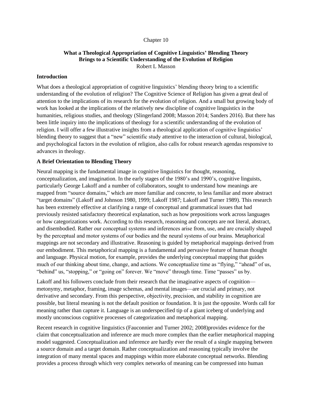#### Chapter 10

# **What a Theological Appropriation of Cognitive Linguistics' Blending Theory Brings to a Scientific Understanding of the Evolution of Religion** Robert L Masson

#### **Introduction**

What does a theological appropriation of cognitive linguistics' blending theory bring to a scientific understanding of the evolution of religion? The Cognitive Science of Religion has given a great deal of attention to the implications of its research for the evolution of religion. And a small but growing body of work has looked at the implications of the relatively new discipline of cognitive linguistics in the humanities, religious studies, and theology (Slingerland 2008; Masson 2014; Sanders 2016). But there has been little inquiry into the implications of theology for a scientific understanding of the evolution of religion. I will offer a few illustrative insights from a theological application of cognitive linguistics' blending theory to suggest that a "new" scientific study attentive to the interaction of cultural, biological, and psychological factors in the evolution of religion, also calls for robust research agendas responsive to advances in theology.

## **A Brief Orientation to Blending Theory**

Neural mapping is the fundamental image in cognitive linguistics for thought, reasoning, conceptualization, and imagination. In the early stages of the 1980's and 1990's, cognitive linguists, particularly George Lakoff and a number of collaborators, sought to understand how meanings are mapped from "source domains," which are more familiar and concrete, to less familiar and more abstract "target domains" (Lakoff and Johnson 1980, 1999; Lakoff 1987; Lakoff and Turner 1989). This research has been extremely effective at clarifying a range of conceptual and grammatical issues that had previously resisted satisfactory theoretical explanation, such as how prepositions work across languages or how categorizations work. According to this research, reasoning and concepts are not literal, abstract, and disembodied. Rather our conceptual systems and inferences arise from, use, and are crucially shaped by the perceptual and motor systems of our bodies and the neural systems of our brains. Metaphorical mappings are not secondary and illustrative. Reasoning is guided by metaphorical mappings derived from our embodiment. This metaphorical mapping is a fundamental and pervasive feature of human thought and language. Physical motion, for example, provides the underlying conceptual mapping that guides much of our thinking about time, change, and actions. We conceptualize time as "flying," "ahead" of us, "behind" us, "stopping," or "going on" forever. We "move" through time. Time "passes" us by.

Lakoff and his followers conclude from their research that the imaginative aspects of cognition metonymy, metaphor, framing, image schemas, and mental images—are crucial and primary, not derivative and secondary. From this perspective, objectivity, precision, and stability in cognition are possible, but literal meaning is not the default position or foundation. It is just the opposite. Words call for meaning rather than capture it. Language is an underspecified tip of a giant iceberg of underlying and mostly unconscious cognitive processes of categorization and metaphorical mapping.

Recent research in cognitive linguistics (Fauconnier and Turner 2002; 2008)provides evidence for the claim that conceptualization and inference are much more complex than the earlier metaphorical mapping model suggested. Conceptualization and inference are hardly ever the result of a single mapping between a source domain and a target domain. Rather conceptualization and reasoning typically involve the integration of many mental spaces and mappings within more elaborate conceptual networks. Blending provides a process through which very complex networks of meaning can be compressed into human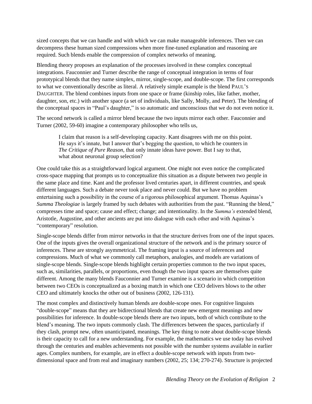sized concepts that we can handle and with which we can make manageable inferences. Then we can decompress these human sized compressions when more fine-tuned explanation and reasoning are required. Such blends enable the compression of complex networks of meaning.

Blending theory proposes an explanation of the processes involved in these complex conceptual integrations. Fauconnier and Turner describe the range of conceptual integration in terms of four prototypical blends that they name simplex, mirror, single-scope, and double-scope. The first corresponds to what we conventionally describe as literal. A relatively simple example is the blend PAUL'S DAUGHTER. The blend combines inputs from one space or frame (kinship roles, like father, mother, daughter, son, etc.) with another space (a set of individuals, like Sally, Molly, and Peter). The blending of the conceptual spaces in "Paul's daughter," is so automatic and unconscious that we do not even notice it.

The second network is called a mirror blend because the two inputs mirror each other. Fauconnier and Turner (2002, 59-60) imagine a contemporary philosopher who tells us,

I claim that reason is a self-developing capacity. Kant disagrees with me on this point. He says it's innate, but I answer that's begging the question, to which he counters in *The Critique of Pure Reason*, that only innate ideas have power. But I say to that, what about neuronal group selection?

One could take this as a straightforward logical argument. One might not even notice the complicated cross-space mapping that prompts us to conceptualize this situation as a dispute between two people in the same place and time. Kant and the professor lived centuries apart, in different countries, and speak different languages. Such a debate never took place and never could. But we have no problem entertaining such a possibility in the course of a rigorous philosophical argument. Thomas Aquinas's *Summa Theologiae* is largely framed by such debates with authorities from the past. "Running the blend," compresses time and space; cause and effect; change; and intentionality. In the *Summa's* extended blend, Aristotle, Augustine, and other ancients are put into dialogue with each other and with Aquinas's "contemporary" resolution.

Single-scope blends differ from mirror networks in that the structure derives from one of the input spaces. One of the inputs gives the overall organizational structure of the network and is the primary source of inferences. These are strongly asymmetrical. The framing input is a source of inferences and compressions. Much of what we commonly call metaphors, analogies, and models are variations of single-scope blends. Single-scope blends highlight certain properties common to the two input spaces, such as, similarities, parallels, or proportions, even though the two input spaces are themselves quite different. Among the many blends Fauconnier and Turner examine is a scenario in which competition between two CEOs is conceptualized as a boxing match in which one CEO delivers blows to the other CEO and ultimately knocks the other out of business (2002, 126-131).

The most complex and distinctively human blends are double-scope ones. For cognitive linguists "double-scope" means that they are bidirectional blends that create new emergent meanings and new possibilities for inference. In double-scope blends there are two inputs, both of which contribute to the blend's meaning. The two inputs commonly clash. The differences between the spaces, particularly if they clash, prompt new, often unanticipated, meanings. The key thing to note about double-scope blends is their capacity to call for a new understanding. For example, the mathematics we use today has evolved through the centuries and enables achievements not possible with the number systems available in earlier ages. Complex numbers, for example, are in effect a double-scope network with inputs from twodimensional space and from real and imaginary numbers (2002, 25; 134; 270-274). Structure is projected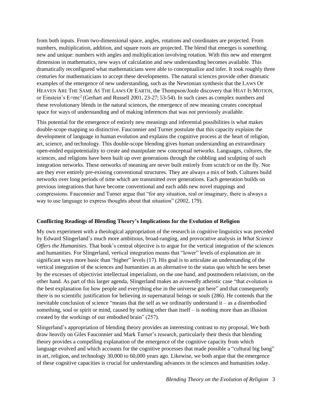from both inputs. From two-dimensional space, angles, rotations and coordinates are projected. From numbers, multiplication, addition, and square roots are projected. The blend that emerges is something new and unique: numbers with angles and multiplication involving rotation. With this new and emergent dimension in mathematics, new ways of calculation and new understanding becomes available. This dramatically reconfigured what mathematicians were able to conceptualize and infer. It took roughly three centuries for mathematicians to accept these developments. The natural sciences provide other dramatic examples of the emergence of new understanding, such as the Newtonian synthesis that the LAWS OF HEAVEN ARE THE SAME AS THE LAWS OF EARTH, the Thompson/Joule discovery that HEAT IS MOTION, or Einstein's E=mc<sup>2</sup> (Gerhart and Russell 2001, 23-27; 53-54). In such cases as complex numbers and these revolutionary blends in the natural sciences, the emergence of new meaning creates conceptual space for ways of understanding and of making inferences that was not previously available.

This potential for the emergence of entirely new meanings and inferential possibilities is what makes double-scope mapping so distinctive. Fauconnier and Turner postulate that this capacity explains the development of language in human evolution and explains the cognitive process at the heart of religion, art, science, and technology. This double-scope blending gives human understanding an extraordinary open-ended equipotentiality to create and manipulate new conceptual networks. Languages, cultures, the sciences, and religions have been built up over generations through the cobbling and sculpting of such integration networks. These networks of meaning are never built entirely from scratch or on the fly. Nor are they ever entirely pre-existing conventional structures. They are always a mix of both. Cultures build networks over long periods of time which are transmitted over generations. Each generation builds on previous integrations that have become conventional and each adds new novel mappings and compressions. Fauconnier and Turner argue that "for any situation, real or imaginary, there is always a way to use language to express thoughts about that situation" (2002, 179).

## **Conflicting Readings of Blending Theory's Implications for the Evolution of Religion**

My own experiment with a theological appropriation of the research in cognitive linguistics was preceded by Edward Slingerland's much more ambitious, broad-ranging, and provocative analysis in *What Science Offers the Humanities*. That book's central objective is to argue for the vertical integration of the sciences and humanities. For Slingerland, vertical integration means that "lower" levels of explanation are in significant ways more basic than "higher" levels (17). His goal is to articulate an understanding of the vertical integration of the sciences and humanities as an alternative to the status quo which he sees beset by the excesses of objectivist intellectual imperialism, on the one hand, and postmodern relativism, on the other hand. As part of this larger agenda, Slingerland makes an avowedly atheistic case "that evolution is the best explanation for how people and everything else in the universe got here" and that consequently there is no scientific justification for believing in supernatural beings or souls (286). He contends that the inevitable conclusion of science "means that the self as we ordinarily understand it – as a disembodied something, soul or spirit or mind, caused by nothing other than itself – is nothing more than an illusion created by the workings of our embodied brain" (257).

Slingerland's appropriation of blending theory provides an interesting contrast to my proposal. We both draw heavily on Giles Fauconnier and Mark Turner's research, particularly their thesis that blending theory provides a compelling explanation of the emergence of the cognitive capacity from which language evolved and which accounts for the cognitive processes that made possible a "cultural big bang" in art, religion, and technology 30,000 to 60,000 years ago. Likewise, we both argue that the emergence of these cognitive capacities is crucial for understanding advances in the sciences and humanities today.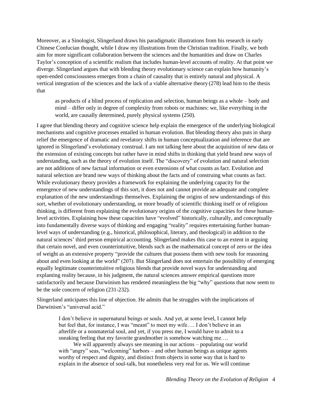Moreover, as a Sinologist, Slingerland draws his paradigmatic illustrations from his research in early Chinese Confucian thought, while I draw my illustrations from the Christian tradition. Finally, we both aim for more significant collaboration between the sciences and the humanities and draw on Charles Taylor's conception of a scientific realism that includes human-level accounts of reality. At that point we diverge. Slingerland argues that with blending theory evolutionary science can explain how humanity's open-ended consciousness emerges from a chain of causality that is entirely natural and physical. A vertical integration of the sciences and the lack of a viable alternative theory (278) lead him to the thesis that

as products of a blind process of replication and selection, human beings as a whole – body and mind – differ only in degree of complexity from robots or machines: we, like everything in the world, are causally determined, purely physical systems (250).

I agree that blending theory and cognitive science help explain the emergence of the underlying biological mechanisms and cognitive processes entailed in human evolution. But blending theory also puts in sharp relief the emergence of dramatic and revelatory shifts in human conceptualization and inference that are ignored in Slingerland's evolutionary construal. I am not talking here about the acquisition of new data or the extension of existing concepts but rather have in mind shifts in thinking that yield brand new ways of understanding, such as the theory of evolution itself. The "discovery" of evolution and natural selection are not additions of new factual information or even extensions of what counts as fact. Evolution and natural selection are brand new ways of thinking about the facts and of construing what counts as fact. While evolutionary theory provides a framework for explaining the underlying capacity for the emergence of new understandings of this sort, it does not and cannot provide an adequate and complete explanation of the new understandings themselves. Explaining the origins of new understandings of this sort, whether of evolutionary understanding, or more broadly of scientific thinking itself or of religious thinking, is different from explaining the evolutionary origins of the cognitive capacities for these humanlevel activities. Explaining how these capacities have "evolved" historically, culturally, and conceptually into fundamentally diverse ways of thinking and engaging "reality" requires entertaining further humanlevel ways of understanding (e.g., historical, philosophical, literary, and theological) in addition to the natural sciences' third person empirical accounting. Slingerland makes this case to an extent in arguing that certain novel, and even counterintuitive, blends such as the mathematical concept of zero or the idea of weight as an extensive property "provide the cultures that possess them with new tools for reasoning about and even looking at the world" (207). But Slingerland does not entertain the possibility of emerging equally legitimate counterintuitive religious blends that provide novel ways for understanding and explanting reality because, in his judgment, the natural sciences answer empirical questions more satisfactorily and because Darwinism has rendered meaningless the big "why" questions that now seem to be the sole concern of religion (231-232).

Slingerland anticipates this line of objection. He admits that he struggles with the implications of Darwinism's "universal acid."

I don't believe in supernatural beings or souls. And yet, at some level, I cannot help but feel that, for instance, I was "meant" to meet my wife…. I don't believe in an afterlife or a nonmaterial soul, and yet, if you press me, I would have to admit to a sneaking feeling that my favorite grandmother is somehow watching me….

We will apparently always see meaning in our actions – populating our world with "angry" seas, "welcoming" harbors – and other human beings as unique agents worthy of respect and dignity, and distinct from objects in some way that is hard to explain in the absence of soul-talk, but nonetheless very real for us. We will continue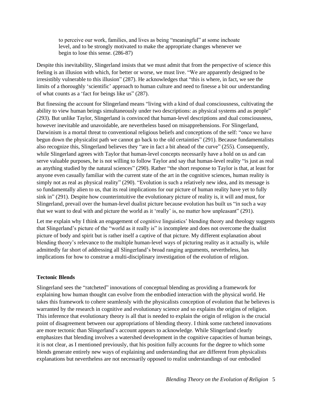to perceive our work, families, and lives as being "meaningful" at some inchoate level, and to be strongly motivated to make the appropriate changes whenever we begin to lose this sense. (286-87)

Despite this inevitability, Slingerland insists that we must admit that from the perspective of science this feeling is an illusion with which, for better or worse, we must live. "We are apparently designed to be irresistibly vulnerable to this illusion" (287). He acknowledges that "this is where, in fact, we see the limits of a thoroughly 'scientific' approach to human culture and need to finesse a bit our understanding of what counts as a 'fact for beings like us" (287).

But finessing the account for Slingerland means "living with a kind of dual consciousness, cultivating the ability to view human beings simultaneously under two descriptions: as physical systems and as people" (293). But unlike Taylor, Slingerland is convinced that human-level descriptions and dual consciousness, however inevitable and unavoidable, are nevertheless based on misapprehensions. For Slingerland, Darwinism is a mortal threat to conventional religious beliefs and conceptions of the self: "once we have begun down the physicalist path we cannot go back to the old certainties" (291). Because fundamentalists also recognize this, Slingerland believes they "are in fact a bit ahead of the curve" (255). Consequently, while Slingerland agrees with Taylor that human-level concepts necessarily have a hold on us and can serve valuable purposes, he is not willing to follow Taylor and say that human-level reality "is just as real as anything studied by the natural sciences" (290). Rather "the short response to Taylor is that, at least for anyone even casually familiar with the current state of the art in the cognitive sciences, human reality is simply not as real as physical reality" (290). "Evolution is such a relatively new idea, and its message is so fundamentally alien to us, that its real implications for our picture of human reality have yet to fully sink in" (291). Despite how counterintuitive the evolutionary picture of reality is, it will and must, for Slingerland, prevail over the human-level dualist picture because evolution has built us "in such a way that we want to deal with and picture the world as it 'really' is, no matter how unpleasant" (291).

Let me explain why I think an engagement of cognitive linguistics' blending theory and theology suggests that Slingerland's picture of the "world as it really is" is incomplete and does not overcome the dualist picture of body and spirit but is rather itself a captive of that picture. My different explanation about blending theory's relevance to the multiple human-level ways of picturing reality as it actually is, while admittedly far short of addressing all Slingerland's broad ranging arguments, nevertheless, has implications for how to construe a multi-disciplinary investigation of the evolution of religion.

#### **Tectonic Blends**

Slingerland sees the "ratcheted" innovations of conceptual blending as providing a framework for explaining how human thought can evolve from the embodied interaction with the physical world. He takes this framework to cohere seamlessly with the physicalists conception of evolution that he believes is warranted by the research in cognitive and evolutionary science and so explains the origins of religion. This inference that evolutionary theory is all that is needed to explain the origin of religion is the crucial point of disagreement between our appropriations of blending theory. I think some ratcheted innovations are more tectonic than Slingerland's account appears to acknowledge. While Slingerland clearly emphasizes that blending involves a watershed development in the cognitive capacities of human beings, it is not clear, as I mentioned previously, that his position fully accounts for the degree to which some blends generate entirely new ways of explaining and understanding that are different from physicalists explanations but nevertheless are not necessarily opposed to realist understandings of our embodied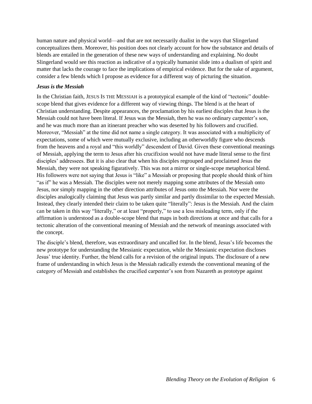human nature and physical world—and that are not necessarily dualist in the ways that Slingerland conceptualizes them. Moreover, his position does not clearly account for how the substance and details of blends are entailed in the generation of these new ways of understanding and explaining. No doubt Slingerland would see this reaction as indicative of a typically humanist slide into a dualism of spirit and matter that lacks the courage to face the implications of empirical evidence. But for the sake of argument, consider a few blends which I propose as evidence for a different way of picturing the situation.

#### *Jesus is the Messiah*

In the Christian faith, JESUS IS THE MESSIAH is a prototypical example of the kind of "tectonic" doublescope blend that gives evidence for a different way of viewing things. The blend is at the heart of Christian understanding. Despite appearances, the proclamation by his earliest disciples that Jesus is the Messiah could not have been literal. If Jesus was the Messiah, then he was no ordinary carpenter's son, and he was much more than an itinerant preacher who was deserted by his followers and crucified. Moreover, "Messiah" at the time did not name a single category. It was associated with a multiplicity of expectations, some of which were mutually exclusive, including an otherworldly figure who descends from the heavens and a royal and "this worldly" descendent of David. Given these conventional meanings of Messiah, applying the term to Jesus after his crucifixion would not have made literal sense to the first disciples' addressees. But it is also clear that when his disciples regrouped and proclaimed Jesus the Messiah, they were not speaking figuratively. This was not a mirror or single-scope metaphorical blend. His followers were not saying that Jesus is "like" a Messiah or proposing that people should think of him "as if" he was a Messiah. The disciples were not merely mapping some attributes of the Messiah onto Jesus, nor simply mapping in the other direction attributes of Jesus onto the Messiah. Nor were the disciples analogically claiming that Jesus was partly similar and partly dissimilar to the expected Messiah. Instead, they clearly intended their claim to be taken quite "literally": Jesus is the Messiah. And the claim can be taken in this way "literally," or at least "properly," to use a less misleading term, only if the affirmation is understood as a double-scope blend that maps in both directions at once and that calls for a tectonic alteration of the conventional meaning of Messiah and the network of meanings associated with the concept.

The disciple's blend, therefore, was extraordinary and uncalled for. In the blend, Jesus's life becomes the new prototype for understanding the Messianic expectation, while the Messianic expectation discloses Jesus' true identity. Further, the blend calls for a revision of the original inputs. The disclosure of a new frame of understanding in which Jesus is the Messiah radically extends the conventional meaning of the category of Messiah and establishes the crucified carpenter's son from Nazareth as prototype against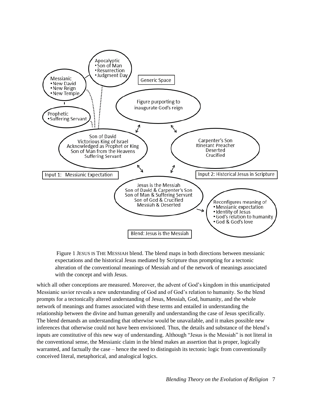

Figure 1 JESUS IS THE MESSIAH blend. The blend maps in both directions between messianic expectations and the historical Jesus mediated by Scripture thus prompting for a tectonic alteration of the conventional meanings of Messiah and of the network of meanings associated with the concept and with Jesus.

which all other conceptions are measured. Moreover, the advent of God's kingdom in this unanticipated Messianic savior reveals a new understanding of God and of God's relation to humanity. So the blend prompts for a tectonically altered understanding of Jesus, Messiah, God, humanity, and the whole network of meanings and frames associated with these terms and entailed in understanding the relationship between the divine and human generally and understanding the case of Jesus specifically. The blend demands an understanding that otherwise would be unavailable, and it makes possible new inferences that otherwise could not have been envisioned. Thus, the details and substance of the blend's inputs are constitutive of this new way of understanding. Although "Jesus is the Messiah" is not literal in the conventional sense, the Messianic claim in the blend makes an assertion that is proper, logically warranted, and factually the case – hence the need to distinguish its tectonic logic from conventionally conceived literal, metaphorical, and analogical logics.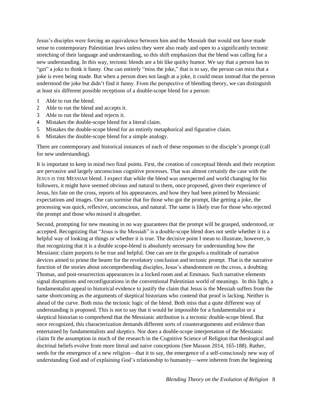Jesus's disciples were forcing an equivalence between him and the Messiah that would not have made sense to contemporary Palestinian Jews unless they were also ready and open to a significantly tectonic stretching of their language and understanding, so this shift emphasizes that the blend was calling for a new understanding. In this way, tectonic blends are a bit like quirky humor. We say that a person has to "get" a joke to think it funny. One can entirely "miss the joke," that is to say, the person can miss that a joke is even being made. But when a person does not laugh at a joke, it could mean instead that the person understood the joke but didn't find it funny. From the perspective of blending theory, we can distinguish at least six different possible receptions of a double-scope blend for a person:

- 1 Able to run the blend.
- 2 Able to run the blend and accepts it.
- 3 Able to run the blend and rejects it.
- 4 Mistakes the double-scope blend for a literal claim.
- 5 Mistakes the double-scope blend for an entirely metaphorical and figurative claim.
- 6 Mistakes the double-scope blend for a simple analogy.

There are contemporary and historical instances of each of these responses to the disciple's prompt (call for new understanding).

It is important to keep in mind two final points. First, the creation of conceptual blends and their reception are pervasive and largely unconscious cognitive processes. That was almost certainly the case with the JESUS IS THE MESSIAH blend. I expect that while the blend was unexpected and world changing for his followers, it might have seemed obvious and natural to them, once proposed, given their experience of Jesus, his fate on the cross, reports of his appearances, and how they had been primed by Messianic expectations and images. One can surmise that for those who got the prompt, like getting a joke, the processing was quick, reflexive, unconscious, and natural. The same is likely true for those who rejected the prompt and those who missed it altogether.

Second, prompting for new meaning in no way guarantees that the prompt will be grasped, understood, or accepted. Recognizing that "Jesus is the Messiah" is a double-scope blend does not settle whether it is a helpful way of looking at things or whether it is true. The decisive point I mean to illustrate, however, is that recognizing that it is a double scope-blend is absolutely necessary for understanding how the Messianic claim purports to be true and helpful. One can see in the gospels a multitude of narrative devices aimed to prime the hearer for the revelatory conclusion and tectonic prompt. That is the narrative function of the stories about uncomprehending disciples, Jesus's abandonment on the cross, a doubting Thomas, and post-resurrection appearances in a locked room and at Emmaus. Such narrative elements signal disruptions and reconfigurations in the conventional Palestinian world of meanings. In this light, a fundamentalist appeal to historical evidence to justify the claim that Jesus is the Messiah suffers from the same shortcoming as the arguments of skeptical historians who contend that proof is lacking. Neither is ahead of the curve. Both miss the tectonic logic of the blend. Both miss that a quite different way of understanding is proposed. This is not to say that it would be impossible for a fundamentalist or a skeptical historian to comprehend that the Messianic attribution is a tectonic double-scope blend. But once recognized, this characterization demands different sorts of counterarguments and evidence than entertained by fundamentalists and skeptics. Nor does a double-scope interpretation of the Messianic claim fit the assumption in much of the research in the Cognitive Science of Religion that theological and doctrinal beliefs evolve from more literal and naive conceptions (See Masson 2014, 165-188). Rather, seeds for the emergence of a new religion—that it to say, the emergence of a self-consciously new way of understanding God and of explaining God's relationship to humanity—were inherent from the beginning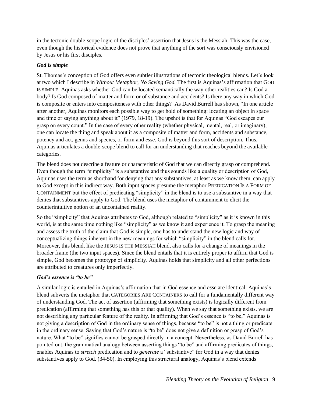in the tectonic double-scope logic of the disciples' assertion that Jesus is the Messiah. This was the case, even though the historical evidence does not prove that anything of the sort was consciously envisioned by Jesus or his first disciples.

# *God is simple*

St. Thomas's conception of God offers even subtler illustrations of tectonic theological blends. Let's look at two which I describe in *Without Metaphor, No Saving God.* The first is Aquinas's affirmation that GOD IS SIMPLE. Aquinas asks whether God can be located semantically the way other realities can? Is God a body? Is God composed of matter and form or of substance and accidents? Is there any way in which God is composite or enters into compositeness with other things? As David Burrell has shown, "In one article after another, Aquinas monitors each possible way to get hold of something: locating an object in space and time or saying anything about it" (1979, 18-19). The upshot is that for Aquinas "God escapes our grasp on every count." In the case of every other reality (whether physical, mental, real, or imaginary), one can locate the thing and speak about it as a composite of matter and form, accidents and substance, potency and act, genus and species, or form and *esse*. God is beyond this sort of description. Thus, Aquinas articulates a double-scope blend to call for an understanding that reaches beyond the available categories.

The blend does not describe a feature or characteristic of God that we can directly grasp or comprehend. Even though the term "simplicity" is a substantive and thus sounds like a quality or description of God, Aquinas uses the term as shorthand for denying that any substantives, at least as we know them, can apply to God except in this indirect way. Both input spaces presume the metaphor PREDICATION IS A FORM OF CONTAINMENT but the effect of predicating "simplicity" in the blend is to use a substantive in a way that denies that substantives apply to God. The blend uses the metaphor of containment to elicit the counterintuitive notion of an uncontained reality.

So the "simplicity" that Aquinas attributes to God, although related to "simplicity" as it is known in this world, is at the same time nothing like "simplicity" as we know it and experience it. To grasp the meaning and assess the truth of the claim that God is simple, one has to understand the new logic and way of conceptualizing things inherent in the new meanings for which "simplicity" in the blend calls for. Moreover, this blend, like the JESUS IS THE MESSIAH blend, also calls for a change of meanings in the broader frame (the two input spaces). Since the blend entails that it is entirely proper to affirm that God is simple, God becomes the prototype of simplicity. Aquinas holds that simplicity and all other perfections are attributed to creatures only imperfectly.

# *God's essence is "to be"*

A similar logic is entailed in Aquinas's affirmation that in God essence and *esse* are identical. Aquinas's blend subverts the metaphor that CATEGORIES ARE CONTAINERS to call for a fundamentally different way of understanding God. The act of assertion (affirming that something exists) is logically different from predication (affirming that something has this or that quality). When we say that something exists, we are not describing any particular feature of the reality. In affirming that God's essence is "to be," Aquinas is not giving a description of God in the ordinary sense of things, because "to be" is not a thing or predicate in the ordinary sense. Saying that God's nature is "to be" does not give a definition or grasp of God's nature. What "to be" signifies cannot be grasped directly in a concept. Nevertheless, as David Burrell has pointed out, the grammatical analogy between asserting things "to be" and affirming predicates of things, enables Aquinas to *stretch* predication and to *generate* a "substantive" for God in a way that denies substantives apply to God. (34-50). In employing this structural analogy, Aquinas's blend extends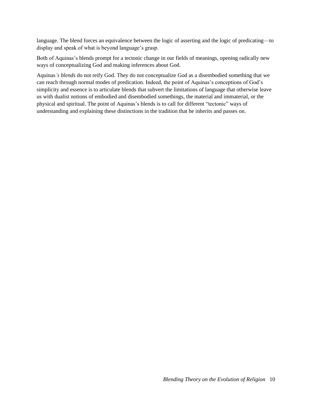language. The blend forces an equivalence between the logic of asserting and the logic of predicating—to display and speak of what is beyond language's grasp.

Both of Aquinas's blends prompt for a tectonic change in our fields of meanings, opening radically new ways of conceptualizing God and making inferences about God.

Aquinas*'s blends* do not reify God. They do not conceptualize God as a disembodied something that we can reach through normal modes of predication. Indeed, the point of Aquinas's conceptions of God's simplicity and essence is to articulate blends that subvert the limitations of language that otherwise leave us with dualist notions of embodied and disembodied somethings, the material and immaterial, or the physical and spiritual. The point of Aquinas's blends is to call for different "tectonic" ways of understanding and explaining these distinctions in the tradition that he inherits and passes on.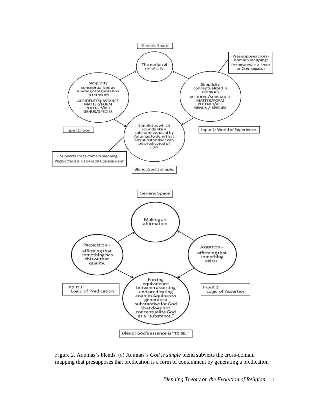

Figure 2. Aquinas's blends. (a) Aquinas's *God is simple* blend subverts the cross-domain mapping that presupposes that predication is a form of containment by generating a predication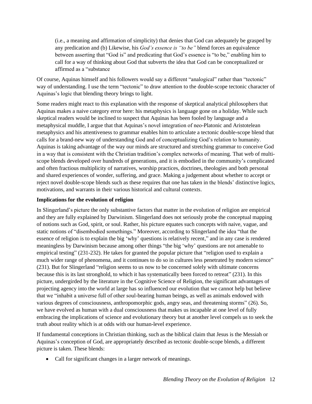(i.e., a meaning and affirmation of simplicity) that denies that God can adequately be grasped by any predication and (b) Likewise, his *God's essence is "to be"* blend forces an equivalence between asserting that "God is" and predicating that God's essence is "to be," enabling him to call for a way of thinking about God that subverts the idea that God can be conceptualized or affirmed as a "substance

Of course, Aquinas himself and his followers would say a different "analogical" rather than "tectonic" way of understanding. I use the term "tectonic" to draw attention to the double-scope tectonic character of Aquinas's logic that blending theory brings to light.

Some readers might react to this explanation with the response of skeptical analytical philosophers that Aquinas makes a naive category error here: his metaphysics is language gone on a holiday. While such skeptical readers would be inclined to suspect that Aquinas has been fooled by language and a metaphysical muddle, I argue that that Aquinas's novel integration of neo-Platonic and Aristotelean metaphysics and his attentiveness to grammar enables him to articulate a tectonic double-scope blend that calls for a brand-new way of understanding God and of conceptualizing God's relation to humanity. Aquinas is taking advantage of the way our minds are structured and stretching grammar to conceive God in a way that is consistent with the Christian tradition's complex networks of meaning. That web of multiscope blends developed over hundreds of generations, and it is embodied in the community's complicated and often fractious multiplicity of narratives, worship practices, doctrines, theologies and both personal and shared experiences of wonder, suffering, and grace. Making a judgement about whether to accept or reject novel double-scope blends such as these requires that one has taken in the blends' distinctive logics, motivations, and warrants in their various historical and cultural contexts.

# **Implications for the evolution of religion**

In Slingerland's picture the only substantive factors that matter in the evolution of religion are empirical and they are fully explained by Darwinism. Slingerland does not seriously probe the conceptual mapping of notions such as God, spirit, or soul. Rather, his picture equates such concepts with naive, vague, and static notions of "disembodied somethings." Moreover, according to Slingerland the idea "that the essence of religion is to explain the big 'why' questions is relatively recent," and in any case is rendered meaningless by Darwinism because among other things "the big 'why' questions are not amenable to empirical testing" (231-232). He takes for granted the popular picture that "religion used to explain a much wider range of phenomena, and it continues to do so in cultures less penetrated by modern science" (231). But for Slingerland "religion seems to us now to be concerned solely with ultimate concerns because this is its last stronghold, to which it has systematically been forced to retreat" (231). In this picture, undergirded by the literature in the Cognitive Science of Religion, the significant advantages of projecting agency into the world at large has so influenced our evolution that we cannot help but believe that we "inhabit a universe full of other soul-bearing human beings, as well as animals endowed with various degrees of consciousness, anthropomorphic gods, angry seas, and threatening storms" (26). So, we have evolved as human with a dual consciousness that makes us incapable at one level of fully embracing the implications of science and evolutionary theory but at another level compels us to seek the truth about reality which is at odds with our human-level experience.

If fundamental conceptions in Christian thinking, such as the biblical claim that Jesus is the Messiah or Aquinas's conception of God, are appropriately described as tectonic double-scope blends, a different picture is taken. These blends:

• Call for significant changes in a larger network of meanings.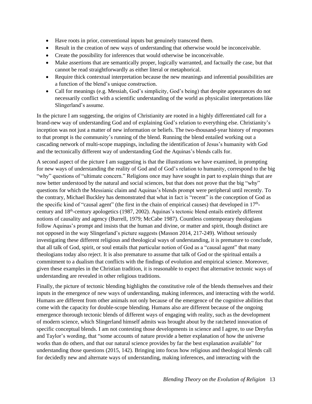- Have roots in prior, conventional inputs but genuinely transcend them.
- Result in the creation of new ways of understanding that otherwise would be inconceivable.
- Create the possibility for inferences that would otherwise be inconceivable.
- Make assertions that are semantically proper, logically warranted, and factually the case, but that cannot be read straightforwardly as either literal or metaphorical.
- Require thick contextual interpretation because the new meanings and inferential possibilities are a function of the blend's unique construction.
- Call for meanings (e.g. Messiah, God's simplicity, God's being) that despite appearances do not necessarily conflict with a scientific understanding of the world as physicalist interpretations like Slingerland's assume.

In the picture I am suggesting, the origins of Christianity are rooted in a highly differentiated call for a brand-new way of understanding God and of explaining God's relation to everything else. Christianity's inception was not just a matter of new information or beliefs. The two-thousand-year history of responses to that prompt is the community's running of the blend. Running the blend entailed working out a cascading network of multi-scope mappings, including the identification of Jesus's humanity with God and the tectonically different way of understanding God the Aquinas's blends calls for.

A second aspect of the picture I am suggesting is that the illustrations we have examined, in prompting for new ways of understanding the reality of God and of God's relation to humanity, correspond to the big "why" questions of "ultimate concern." Religions once may have sought in part to explain things that are now better understood by the natural and social sciences, but that does not prove that the big "why" questions for which the Messianic claim and Aquinas's blends prompt were peripheral until recently. To the contrary, Michael Buckley has demonstrated that what in fact is "recent" is the conception of God as the specific kind of "causal agent" (the first in the chain of empirical causes) that developed in 17<sup>th</sup>century and 18<sup>th</sup>-century apologetics (1987, 2002). Aquinas's tectonic blend entails entirely different notions of causality and agency (Burrell, 1979; McCabe 1987). Countless contemporary theologians follow Aquinas's prompt and insists that the human and divine, or matter and spirit, though distinct are not opposed in the way Slingerland's picture suggests (Masson 2014, 217-249). Without seriously investigating these different religious and theological ways of understanding, it is premature to conclude, that all talk of God, spirit, or soul entails that particular notion of God as a "causal agent" that many theologians today also reject. It is also premature to assume that talk of God or the spiritual entails a commitment to a dualism that conflicts with the findings of evolution and empirical science. Moreover, given these examples in the Christian tradition, it is reasonable to expect that alternative tectonic ways of understanding are revealed in other religious traditions.

Finally, the picture of tectonic blending highlights the constitutive role of the blends themselves and their inputs in the emergence of new ways of understanding, making inferences, and interacting with the world. Humans are different from other animals not only because of the emergence of the cognitive abilities that come with the capacity for double-scope blending. Humans also are different because of the ongoing emergence thorough tectonic blends of different ways of engaging with reality, such as the development of modern science, which Slingerland himself admits was brought about by the ratcheted innovation of specific conceptual blends. I am not contesting those developments in science and I agree, to use Dreyfus and Taylor's wording, that "some accounts of nature provide a better explanation of how the universe works than do others, and that our natural science provides by far the best explanation available" for understanding those questions (2015, 142). Bringing into focus how religious and theological blends call for decidedly new and alternate ways of understanding, making inferences, and interacting with the